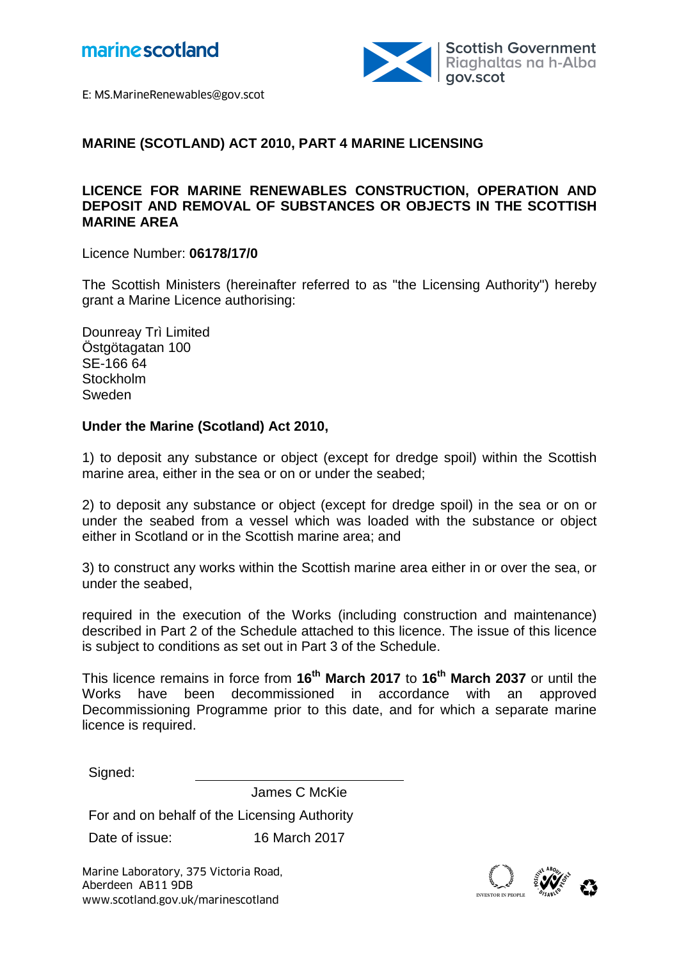



E: MS.MarineRenewables@gov.scot

### **MARINE (SCOTLAND) ACT 2010, PART 4 MARINE LICENSING**

## **LICENCE FOR MARINE RENEWABLES CONSTRUCTION, OPERATION AND DEPOSIT AND REMOVAL OF SUBSTANCES OR OBJECTS IN THE SCOTTISH MARINE AREA**

Licence Number: **06178/17/0**

The Scottish Ministers (hereinafter referred to as "the Licensing Authority") hereby grant a Marine Licence authorising:

Dounreay Trì Limited Östgötagatan 100 SE-166 64 **Stockholm** Sweden

#### **Under the Marine (Scotland) Act 2010,**

1) to deposit any substance or object (except for dredge spoil) within the Scottish marine area, either in the sea or on or under the seabed;

2) to deposit any substance or object (except for dredge spoil) in the sea or on or under the seabed from a vessel which was loaded with the substance or object either in Scotland or in the Scottish marine area; and

3) to construct any works within the Scottish marine area either in or over the sea, or under the seabed,

required in the execution of the Works (including construction and maintenance) described in Part 2 of the Schedule attached to this licence. The issue of this licence is subject to conditions as set out in Part 3 of the Schedule.

This licence remains in force from **16th March 2017** to **16th March 2037** or until the been decommissioned in accordance with an approved Decommissioning Programme prior to this date, and for which a separate marine licence is required.

Signed:

James C McKie

For and on behalf of the Licensing Authority

Date of issue: 16 March 2017

Marine Laboratory, 375 Victoria Road,<br>Aberdeen AB11 9DB<br>www.scotland.gov.uk/marinescotland Aberdeen AB11 9DB

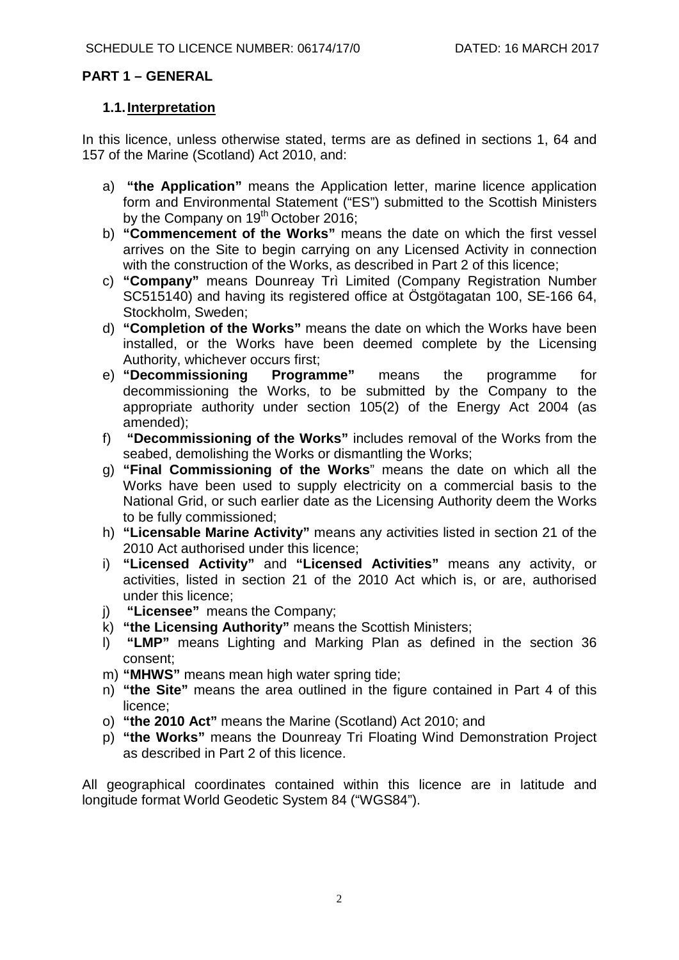### **PART 1 – GENERAL**

#### **1.1.Interpretation**

In this licence, unless otherwise stated, terms are as defined in sections 1, 64 and 157 of the Marine (Scotland) Act 2010, and:

- a) **"the Application"** means the Application letter, marine licence application form and Environmental Statement ("ES") submitted to the Scottish Ministers by the Company on  $19<sup>th</sup>$  October 2016;
- b) **"Commencement of the Works"** means the date on which the first vessel arrives on the Site to begin carrying on any Licensed Activity in connection with the construction of the Works, as described in Part 2 of this licence;
- c) **"Company"** means Dounreay Trì Limited (Company Registration Number SC515140) and having its registered office at Östgötagatan 100, SE-166 64, Stockholm, Sweden;
- d) **"Completion of the Works"** means the date on which the Works have been installed, or the Works have been deemed complete by the Licensing Authority, whichever occurs first;<br>"Decommissioning Programme"
- e) **"Decommissioning Programme"** means the programme for decommissioning the Works, to be submitted by the Company to the appropriate authority under section 105(2) of the Energy Act 2004 (as amended);
- f) **"Decommissioning of the Works"** includes removal of the Works from the seabed, demolishing the Works or dismantling the Works;
- g) **"Final Commissioning of the Works**" means the date on which all the Works have been used to supply electricity on a commercial basis to the National Grid, or such earlier date as the Licensing Authority deem the Works to be fully commissioned;
- h) **"Licensable Marine Activity"** means any activities listed in section 21 of the 2010 Act authorised under this licence;
- i) **"Licensed Activity"** and **"Licensed Activities"** means any activity, or activities, listed in section 21 of the 2010 Act which is, or are, authorised under this licence;
- j) **"Licensee"** means the Company;
- k) **"the Licensing Authority"** means the Scottish Ministers;
- l) **"LMP"** means Lighting and Marking Plan as defined in the section 36 consent;
- m) **"MHWS"** means mean high water spring tide;
- n) **"the Site"** means the area outlined in the figure contained in Part 4 of this licence;
- o) **"the 2010 Act"** means the Marine (Scotland) Act 2010; and
- p) **"the Works"** means the Dounreay Tri Floating Wind Demonstration Project as described in Part 2 of this licence.

All geographical coordinates contained within this licence are in latitude and longitude format World Geodetic System 84 ("WGS84").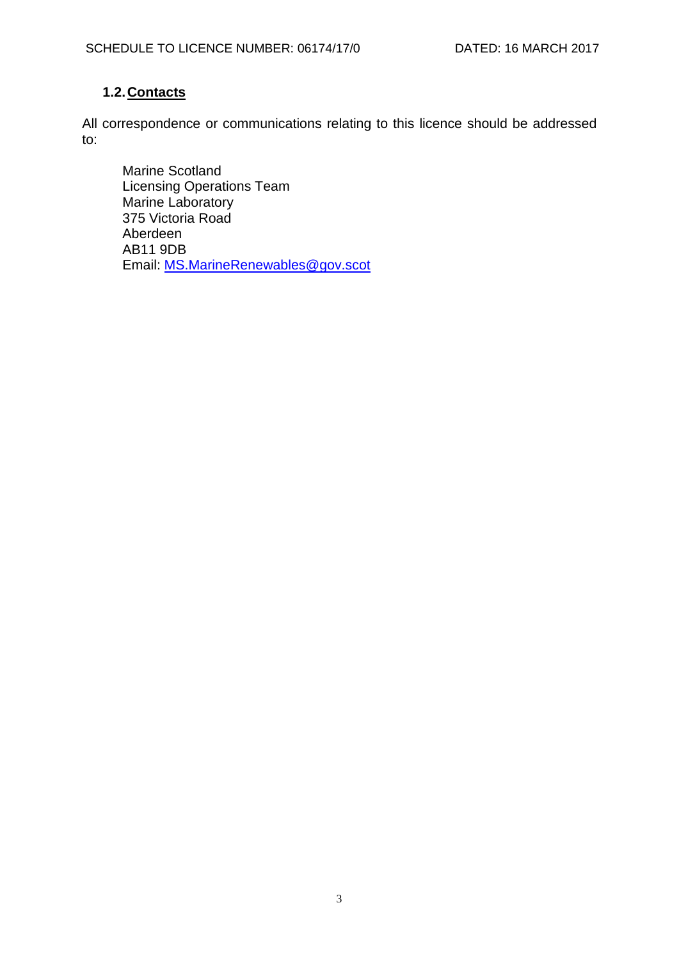# **1.2.Contacts**

All correspondence or communications relating to this licence should be addressed to:

Marine Scotland Licensing Operations Team Marine Laboratory 375 Victoria Road Aberdeen AB11 9DB Email: [MS.MarineRenewables@gov.scot](mailto:MS.MarineRenewables@gov.scot)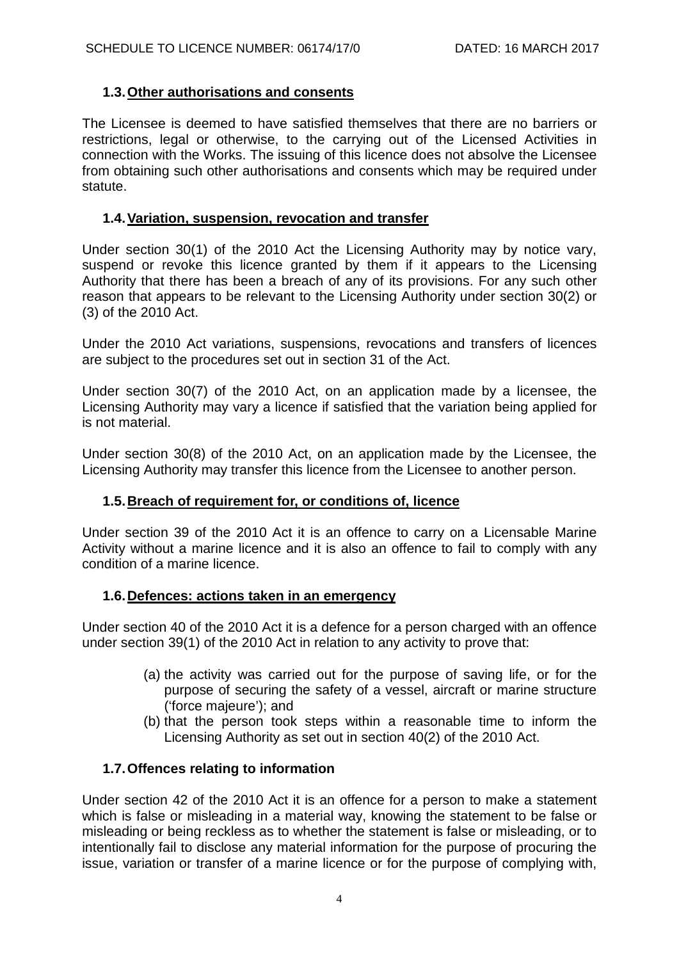## **1.3.Other authorisations and consents**

The Licensee is deemed to have satisfied themselves that there are no barriers or restrictions, legal or otherwise, to the carrying out of the Licensed Activities in connection with the Works. The issuing of this licence does not absolve the Licensee from obtaining such other authorisations and consents which may be required under statute.

### **1.4.Variation, suspension, revocation and transfer**

Under section 30(1) of the 2010 Act the Licensing Authority may by notice vary, suspend or revoke this licence granted by them if it appears to the Licensing Authority that there has been a breach of any of its provisions. For any such other reason that appears to be relevant to the Licensing Authority under section 30(2) or (3) of the 2010 Act.

Under the 2010 Act variations, suspensions, revocations and transfers of licences are subject to the procedures set out in section 31 of the Act.

Under section 30(7) of the 2010 Act, on an application made by a licensee, the Licensing Authority may vary a licence if satisfied that the variation being applied for is not material.

Under section 30(8) of the 2010 Act, on an application made by the Licensee, the Licensing Authority may transfer this licence from the Licensee to another person.

# **1.5.Breach of requirement for, or conditions of, licence**

Under section 39 of the 2010 Act it is an offence to carry on a Licensable Marine Activity without a marine licence and it is also an offence to fail to comply with any condition of a marine licence.

### **1.6.Defences: actions taken in an emergency**

Under section 40 of the 2010 Act it is a defence for a person charged with an offence under section 39(1) of the 2010 Act in relation to any activity to prove that:

- (a) the activity was carried out for the purpose of saving life, or for the purpose of securing the safety of a vessel, aircraft or marine structure ('force majeure'); and
- (b) that the person took steps within a reasonable time to inform the Licensing Authority as set out in section 40(2) of the 2010 Act.

### **1.7.Offences relating to information**

Under section 42 of the 2010 Act it is an offence for a person to make a statement which is false or misleading in a material way, knowing the statement to be false or misleading or being reckless as to whether the statement is false or misleading, or to intentionally fail to disclose any material information for the purpose of procuring the issue, variation or transfer of a marine licence or for the purpose of complying with,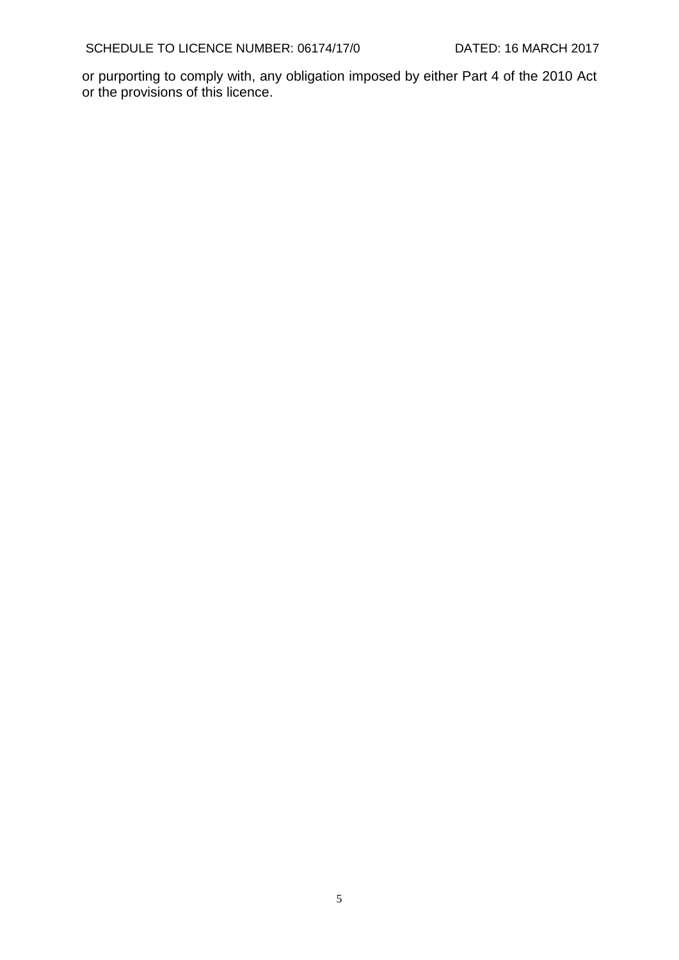or purporting to comply with, any obligation imposed by either Part 4 of the 2010 Act or the provisions of this licence.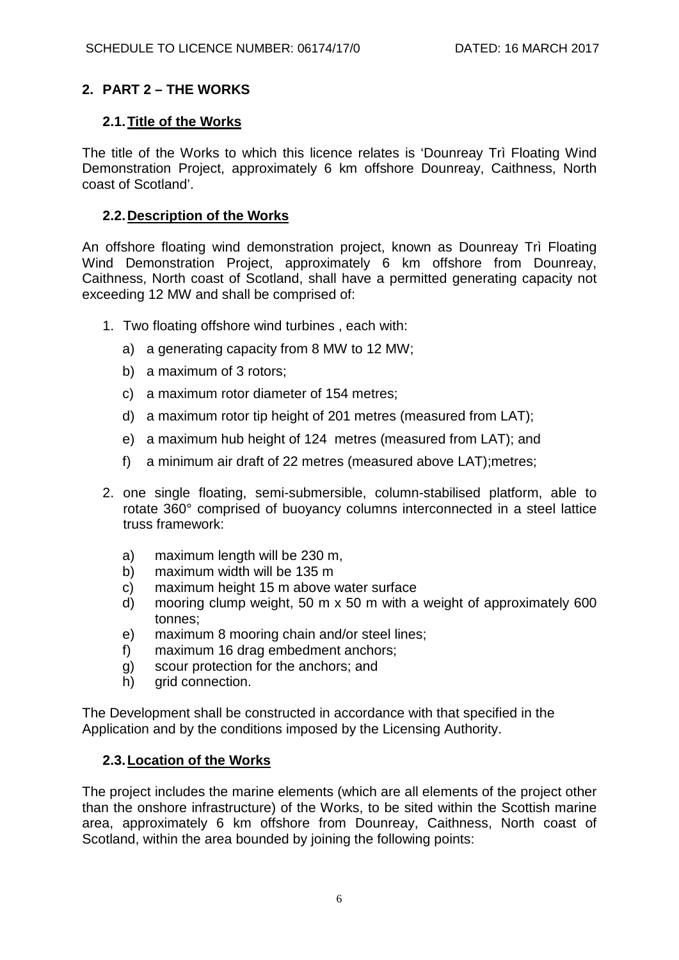# **2. PART 2 – THE WORKS**

### **2.1.Title of the Works**

The title of the Works to which this licence relates is 'Dounreay Trì Floating Wind Demonstration Project, approximately 6 km offshore Dounreay, Caithness, North coast of Scotland'.

## **2.2.Description of the Works**

An offshore floating wind demonstration project, known as Dounreay Trì Floating Wind Demonstration Project, approximately 6 km offshore from Dounreay, Caithness, North coast of Scotland, shall have a permitted generating capacity not exceeding 12 MW and shall be comprised of:

- 1. Two floating offshore wind turbines , each with:
	- a) a generating capacity from 8 MW to 12 MW;
	- b) a maximum of 3 rotors;
	- c) a maximum rotor diameter of 154 metres;
	- d) a maximum rotor tip height of 201 metres (measured from LAT);
	- e) a maximum hub height of 124 metres (measured from LAT); and
	- f) a minimum air draft of 22 metres (measured above LAT);metres;
- 2. one single floating, semi-submersible, column-stabilised platform, able to rotate 360° comprised of buoyancy columns interconnected in a steel lattice truss framework:
	- a) maximum length will be 230 m,
	- b) maximum width will be 135 m
	- c) maximum height 15 m above water surface
	- d) mooring clump weight, 50 m x 50 m with a weight of approximately 600 tonnes;
	- e) maximum 8 mooring chain and/or steel lines;
	- f) maximum 16 drag embedment anchors;
	- g) scour protection for the anchors; and
	- h) grid connection.

The Development shall be constructed in accordance with that specified in the Application and by the conditions imposed by the Licensing Authority.

### **2.3.Location of the Works**

The project includes the marine elements (which are all elements of the project other than the onshore infrastructure) of the Works, to be sited within the Scottish marine area, approximately 6 km offshore from Dounreay, Caithness, North coast of Scotland, within the area bounded by joining the following points: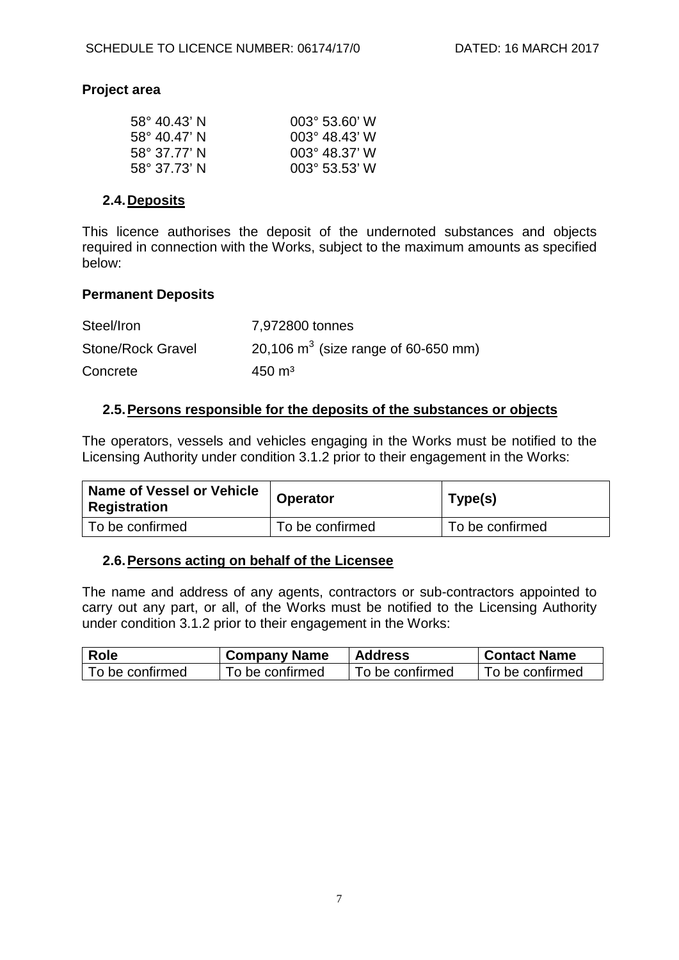### **Project area**

| $58^{\circ}$ 40.43' N | $003^{\circ}$ 53.60' W  |
|-----------------------|-------------------------|
| $58^{\circ}$ 40.47' N | $0.03^{\circ}$ 48.43' W |
| 58° 37.77' N          | $0.3^{\circ}$ 48.37' W  |
| 58° 37.73' N          | $003^{\circ}$ 53.53' W  |

#### **2.4.Deposits**

This licence authorises the deposit of the undernoted substances and objects required in connection with the Works, subject to the maximum amounts as specified below:

### **Permanent Deposits**

| Steel/Iron               | 7,972800 tonnes                        |
|--------------------------|----------------------------------------|
| <b>Stone/Rock Gravel</b> | 20,106 $m^3$ (size range of 60-650 mm) |
| Concrete                 | $450 \text{ m}^3$                      |

#### **2.5.Persons responsible for the deposits of the substances or objects**

The operators, vessels and vehicles engaging in the Works must be notified to the Licensing Authority under condition 3.1.2 prior to their engagement in the Works:

| Name of Vessel or Vehicle<br><b>Registration</b> | <b>Operator</b> | Type(s)         |
|--------------------------------------------------|-----------------|-----------------|
| To be confirmed                                  | To be confirmed | To be confirmed |

#### **2.6.Persons acting on behalf of the Licensee**

The name and address of any agents, contractors or sub-contractors appointed to carry out any part, or all, of the Works must be notified to the Licensing Authority under condition 3.1.2 prior to their engagement in the Works:

| Role            | <b>Company Name</b> | <b>Address</b>  | <b>↓ Contact Name</b> |
|-----------------|---------------------|-----------------|-----------------------|
| To be confirmed | To be confirmed     | To be confirmed | To be confirmed       |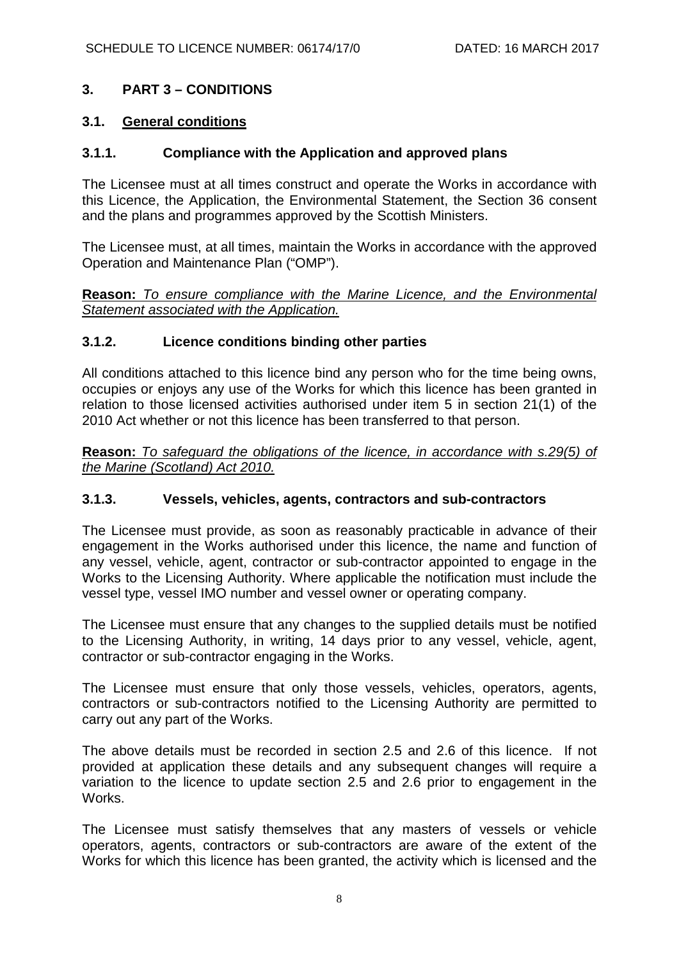## **3. PART 3 – CONDITIONS**

#### **3.1. General conditions**

### **3.1.1. Compliance with the Application and approved plans**

The Licensee must at all times construct and operate the Works in accordance with this Licence, the Application, the Environmental Statement, the Section 36 consent and the plans and programmes approved by the Scottish Ministers.

The Licensee must, at all times, maintain the Works in accordance with the approved Operation and Maintenance Plan ("OMP").

**Reason:** *To ensure compliance with the Marine Licence, and the Environmental Statement associated with the Application.*

#### **3.1.2. Licence conditions binding other parties**

All conditions attached to this licence bind any person who for the time being owns, occupies or enjoys any use of the Works for which this licence has been granted in relation to those licensed activities authorised under item 5 in section 21(1) of the 2010 Act whether or not this licence has been transferred to that person.

**Reason:** *To safeguard the obligations of the licence, in accordance with s.29(5) of the Marine (Scotland) Act 2010.*

### **3.1.3. Vessels, vehicles, agents, contractors and sub-contractors**

The Licensee must provide, as soon as reasonably practicable in advance of their engagement in the Works authorised under this licence, the name and function of any vessel, vehicle, agent, contractor or sub-contractor appointed to engage in the Works to the Licensing Authority. Where applicable the notification must include the vessel type, vessel IMO number and vessel owner or operating company.

The Licensee must ensure that any changes to the supplied details must be notified to the Licensing Authority, in writing, 14 days prior to any vessel, vehicle, agent, contractor or sub-contractor engaging in the Works.

The Licensee must ensure that only those vessels, vehicles, operators, agents, contractors or sub-contractors notified to the Licensing Authority are permitted to carry out any part of the Works.

The above details must be recorded in section 2.5 and 2.6 of this licence. If not provided at application these details and any subsequent changes will require a variation to the licence to update section 2.5 and 2.6 prior to engagement in the Works.

The Licensee must satisfy themselves that any masters of vessels or vehicle operators, agents, contractors or sub-contractors are aware of the extent of the Works for which this licence has been granted, the activity which is licensed and the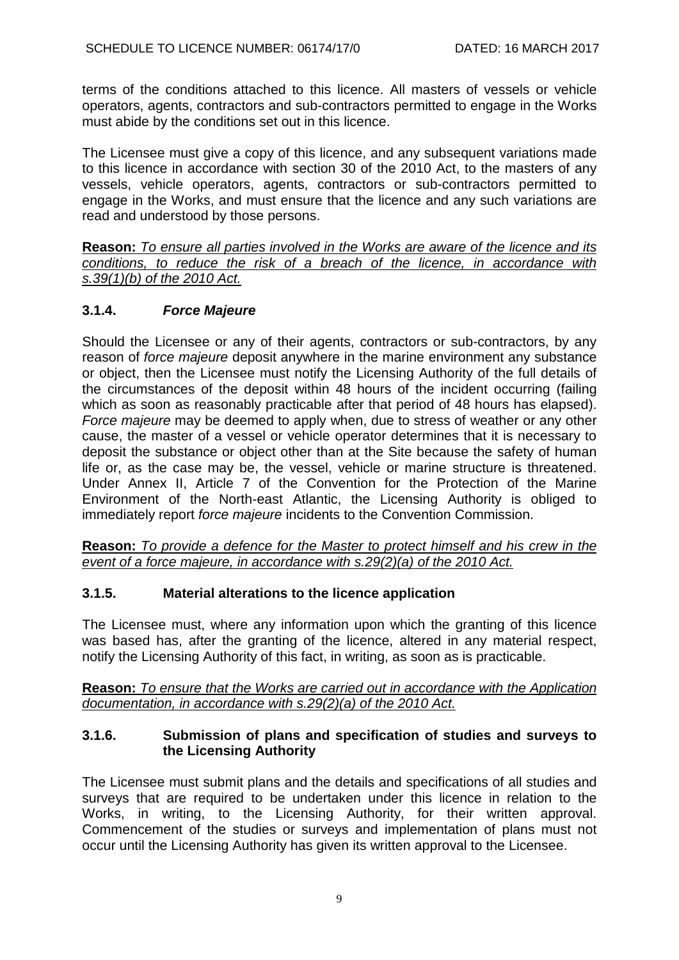terms of the conditions attached to this licence. All masters of vessels or vehicle operators, agents, contractors and sub-contractors permitted to engage in the Works must abide by the conditions set out in this licence.

The Licensee must give a copy of this licence, and any subsequent variations made to this licence in accordance with section 30 of the 2010 Act, to the masters of any vessels, vehicle operators, agents, contractors or sub-contractors permitted to engage in the Works, and must ensure that the licence and any such variations are read and understood by those persons.

**Reason:** *To ensure all parties involved in the Works are aware of the licence and its conditions, to reduce the risk of a breach of the licence, in accordance with s.39(1)(b) of the 2010 Act.*

# **3.1.4.** *Force Majeure*

Should the Licensee or any of their agents, contractors or sub-contractors, by any reason of *force majeure* deposit anywhere in the marine environment any substance or object, then the Licensee must notify the Licensing Authority of the full details of the circumstances of the deposit within 48 hours of the incident occurring (failing which as soon as reasonably practicable after that period of 48 hours has elapsed). *Force majeure* may be deemed to apply when, due to stress of weather or any other cause, the master of a vessel or vehicle operator determines that it is necessary to deposit the substance or object other than at the Site because the safety of human life or, as the case may be, the vessel, vehicle or marine structure is threatened. Under Annex II, Article 7 of the Convention for the Protection of the Marine Environment of the North-east Atlantic, the Licensing Authority is obliged to immediately report *force majeure* incidents to the Convention Commission.

**Reason:** *To provide a defence for the Master to protect himself and his crew in the event of a force majeure, in accordance with s.29(2)(a) of the 2010 Act.*

# **3.1.5. Material alterations to the licence application**

The Licensee must, where any information upon which the granting of this licence was based has, after the granting of the licence, altered in any material respect, notify the Licensing Authority of this fact, in writing, as soon as is practicable.

**Reason:** *To ensure that the Works are carried out in accordance with the Application documentation, in accordance with s.29(2)(a) of the 2010 Act.*

### **3.1.6. Submission of plans and specification of studies and surveys to the Licensing Authority**

The Licensee must submit plans and the details and specifications of all studies and surveys that are required to be undertaken under this licence in relation to the Works, in writing, to the Licensing Authority, for their written approval. Commencement of the studies or surveys and implementation of plans must not occur until the Licensing Authority has given its written approval to the Licensee.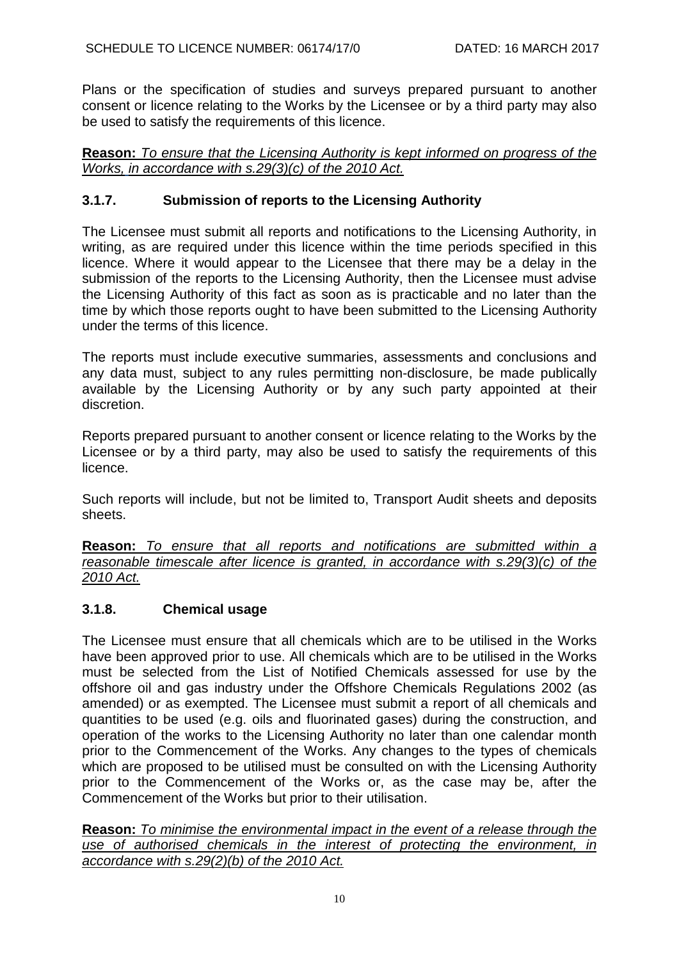Plans or the specification of studies and surveys prepared pursuant to another consent or licence relating to the Works by the Licensee or by a third party may also be used to satisfy the requirements of this licence.

**Reason:** *To ensure that the Licensing Authority is kept informed on progress of the Works, in accordance with s.29(3)(c) of the 2010 Act.*

# **3.1.7. Submission of reports to the Licensing Authority**

The Licensee must submit all reports and notifications to the Licensing Authority, in writing, as are required under this licence within the time periods specified in this licence. Where it would appear to the Licensee that there may be a delay in the submission of the reports to the Licensing Authority, then the Licensee must advise the Licensing Authority of this fact as soon as is practicable and no later than the time by which those reports ought to have been submitted to the Licensing Authority under the terms of this licence.

The reports must include executive summaries, assessments and conclusions and any data must, subject to any rules permitting non-disclosure, be made publically available by the Licensing Authority or by any such party appointed at their discretion.

Reports prepared pursuant to another consent or licence relating to the Works by the Licensee or by a third party, may also be used to satisfy the requirements of this licence.

Such reports will include, but not be limited to, Transport Audit sheets and deposits sheets.

**Reason:** *To ensure that all reports and notifications are submitted within a reasonable timescale after licence is granted, in accordance with s.29(3)(c) of the 2010 Act.*

### **3.1.8. Chemical usage**

The Licensee must ensure that all chemicals which are to be utilised in the Works have been approved prior to use. All chemicals which are to be utilised in the Works must be selected from the List of Notified Chemicals assessed for use by the offshore oil and gas industry under the Offshore Chemicals Regulations 2002 (as amended) or as exempted. The Licensee must submit a report of all chemicals and quantities to be used (e.g. oils and fluorinated gases) during the construction, and operation of the works to the Licensing Authority no later than one calendar month prior to the Commencement of the Works. Any changes to the types of chemicals which are proposed to be utilised must be consulted on with the Licensing Authority prior to the Commencement of the Works or, as the case may be, after the Commencement of the Works but prior to their utilisation.

**Reason:** *To minimise the environmental impact in the event of a release through the use of authorised chemicals in the interest of protecting the environment, in accordance with s.29(2)(b) of the 2010 Act.*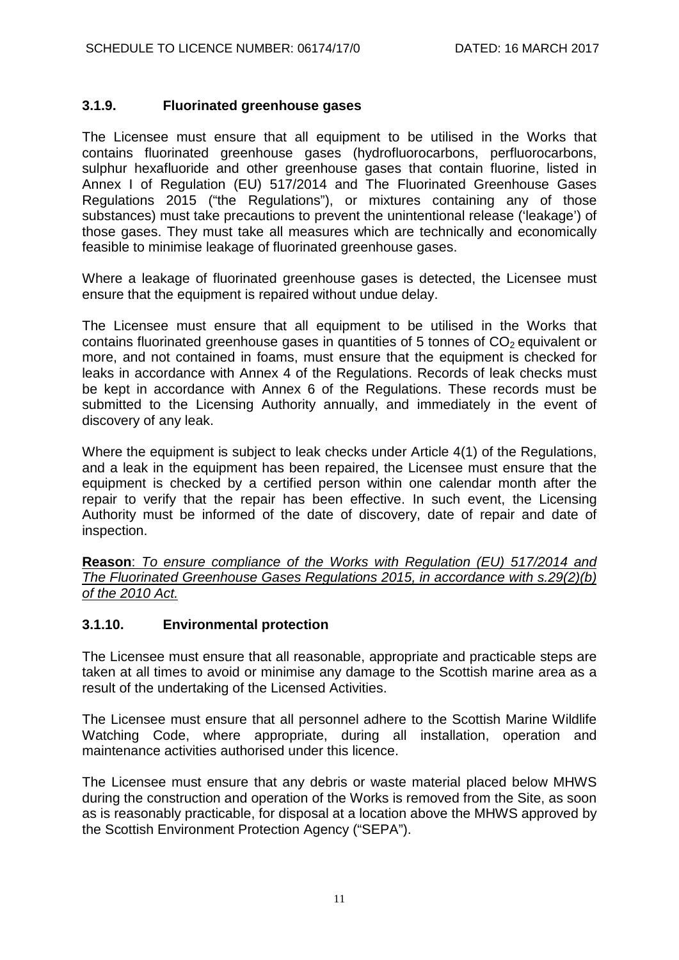## **3.1.9. Fluorinated greenhouse gases**

The Licensee must ensure that all equipment to be utilised in the Works that contains fluorinated greenhouse gases (hydrofluorocarbons, perfluorocarbons, sulphur hexafluoride and other greenhouse gases that contain fluorine, listed in Annex I of Regulation (EU) 517/2014 and The Fluorinated Greenhouse Gases Regulations 2015 ("the Regulations"), or mixtures containing any of those substances) must take precautions to prevent the unintentional release ('leakage') of those gases. They must take all measures which are technically and economically feasible to minimise leakage of fluorinated greenhouse gases.

Where a leakage of fluorinated greenhouse gases is detected, the Licensee must ensure that the equipment is repaired without undue delay.

The Licensee must ensure that all equipment to be utilised in the Works that contains fluorinated greenhouse gases in quantities of 5 tonnes of  $CO<sub>2</sub>$  equivalent or more, and not contained in foams, must ensure that the equipment is checked for leaks in accordance with Annex 4 of the Regulations. Records of leak checks must be kept in accordance with Annex 6 of the Regulations. These records must be submitted to the Licensing Authority annually, and immediately in the event of discovery of any leak.

Where the equipment is subject to leak checks under Article 4(1) of the Regulations, and a leak in the equipment has been repaired, the Licensee must ensure that the equipment is checked by a certified person within one calendar month after the repair to verify that the repair has been effective. In such event, the Licensing Authority must be informed of the date of discovery, date of repair and date of inspection.

**Reason**: *To ensure compliance of the Works with Regulation (EU) 517/2014 and The Fluorinated Greenhouse Gases Regulations 2015, in accordance with s.29(2)(b) of the 2010 Act.*

### **3.1.10. Environmental protection**

The Licensee must ensure that all reasonable, appropriate and practicable steps are taken at all times to avoid or minimise any damage to the Scottish marine area as a result of the undertaking of the Licensed Activities.

The Licensee must ensure that all personnel adhere to the Scottish Marine Wildlife Watching Code, where appropriate, during all installation, operation and maintenance activities authorised under this licence.

The Licensee must ensure that any debris or waste material placed below MHWS during the construction and operation of the Works is removed from the Site, as soon as is reasonably practicable, for disposal at a location above the MHWS approved by the Scottish Environment Protection Agency ("SEPA").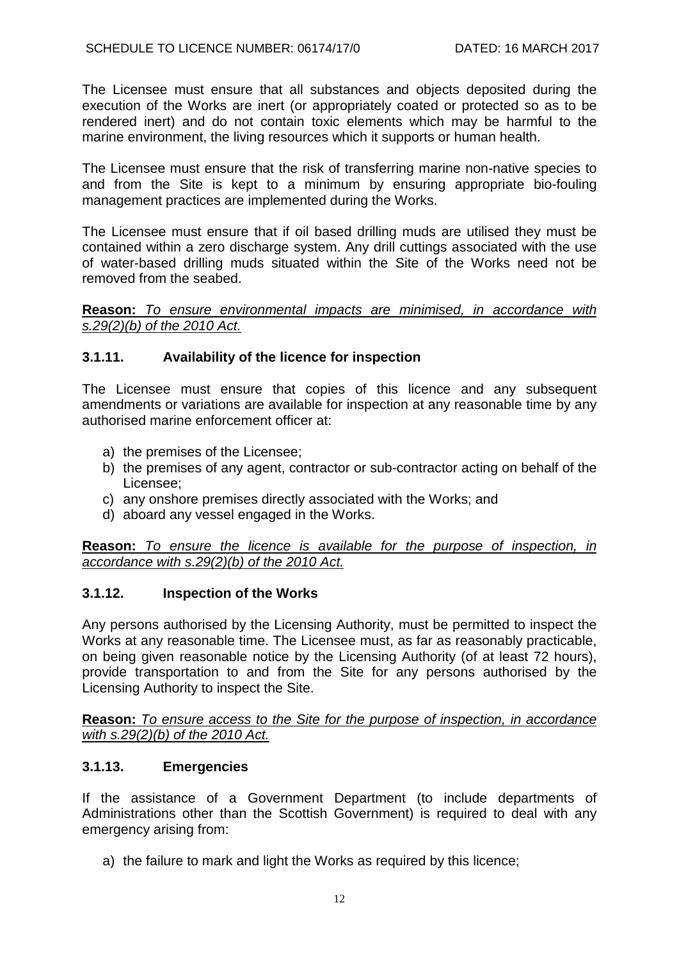The Licensee must ensure that all substances and objects deposited during the execution of the Works are inert (or appropriately coated or protected so as to be rendered inert) and do not contain toxic elements which may be harmful to the marine environment, the living resources which it supports or human health.

The Licensee must ensure that the risk of transferring marine non-native species to and from the Site is kept to a minimum by ensuring appropriate bio-fouling management practices are implemented during the Works.

The Licensee must ensure that if oil based drilling muds are utilised they must be contained within a zero discharge system. Any drill cuttings associated with the use of water-based drilling muds situated within the Site of the Works need not be removed from the seabed.

**Reason:** *To ensure environmental impacts are minimised, in accordance with s.29(2)(b) of the 2010 Act.*

## **3.1.11. Availability of the licence for inspection**

The Licensee must ensure that copies of this licence and any subsequent amendments or variations are available for inspection at any reasonable time by any authorised marine enforcement officer at:

- a) the premises of the Licensee;
- b) the premises of any agent, contractor or sub-contractor acting on behalf of the Licensee;
- c) any onshore premises directly associated with the Works; and
- d) aboard any vessel engaged in the Works.

**Reason:** *To ensure the licence is available for the purpose of inspection, in accordance with s.29(2)(b) of the 2010 Act.*

### **3.1.12. Inspection of the Works**

Any persons authorised by the Licensing Authority, must be permitted to inspect the Works at any reasonable time. The Licensee must, as far as reasonably practicable, on being given reasonable notice by the Licensing Authority (of at least 72 hours), provide transportation to and from the Site for any persons authorised by the Licensing Authority to inspect the Site.

**Reason:** *To ensure access to the Site for the purpose of inspection, in accordance with s.29(2)(b) of the 2010 Act.*

### **3.1.13. Emergencies**

If the assistance of a Government Department (to include departments of Administrations other than the Scottish Government) is required to deal with any emergency arising from:

a) the failure to mark and light the Works as required by this licence;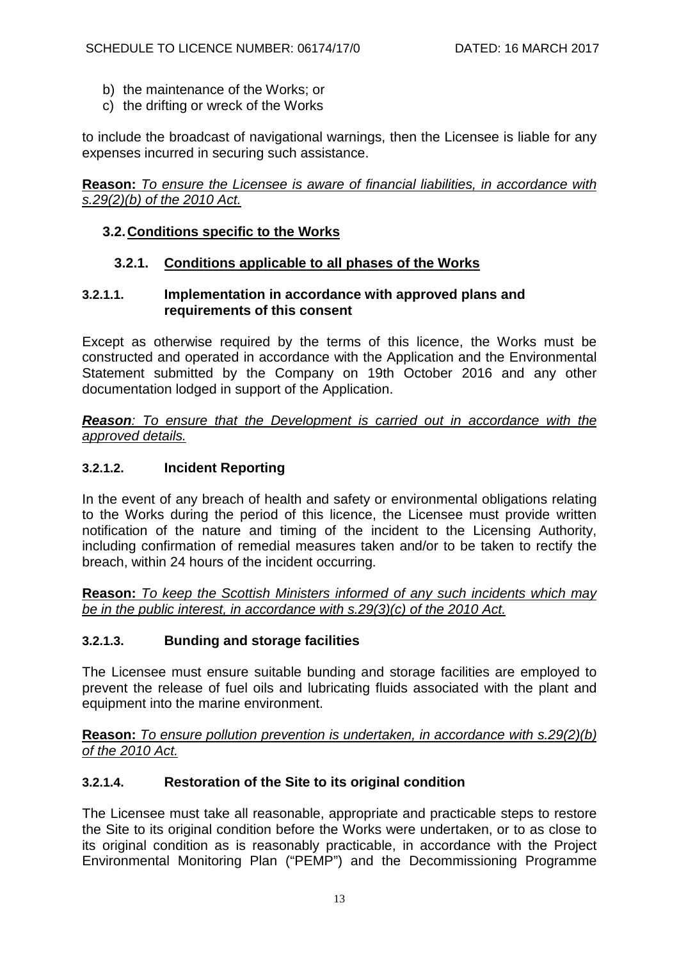- b) the maintenance of the Works; or
- c) the drifting or wreck of the Works

to include the broadcast of navigational warnings, then the Licensee is liable for any expenses incurred in securing such assistance.

**Reason:** *To ensure the Licensee is aware of financial liabilities, in accordance with s.29(2)(b) of the 2010 Act.*

#### **3.2.Conditions specific to the Works**

### **3.2.1. Conditions applicable to all phases of the Works**

#### **3.2.1.1. Implementation in accordance with approved plans and requirements of this consent**

Except as otherwise required by the terms of this licence, the Works must be constructed and operated in accordance with the Application and the Environmental Statement submitted by the Company on 19th October 2016 and any other documentation lodged in support of the Application.

*Reason: To ensure that the Development is carried out in accordance with the approved details.*

### **3.2.1.2. Incident Reporting**

In the event of any breach of health and safety or environmental obligations relating to the Works during the period of this licence, the Licensee must provide written notification of the nature and timing of the incident to the Licensing Authority, including confirmation of remedial measures taken and/or to be taken to rectify the breach, within 24 hours of the incident occurring.

**Reason:** *To keep the Scottish Ministers informed of any such incidents which may be in the public interest, in accordance with s.29(3)(c) of the 2010 Act.*

### **3.2.1.3. Bunding and storage facilities**

The Licensee must ensure suitable bunding and storage facilities are employed to prevent the release of fuel oils and lubricating fluids associated with the plant and equipment into the marine environment.

**Reason:** *To ensure pollution prevention is undertaken, in accordance with s.29(2)(b) of the 2010 Act.*

## **3.2.1.4. Restoration of the Site to its original condition**

The Licensee must take all reasonable, appropriate and practicable steps to restore the Site to its original condition before the Works were undertaken, or to as close to its original condition as is reasonably practicable, in accordance with the Project Environmental Monitoring Plan ("PEMP") and the Decommissioning Programme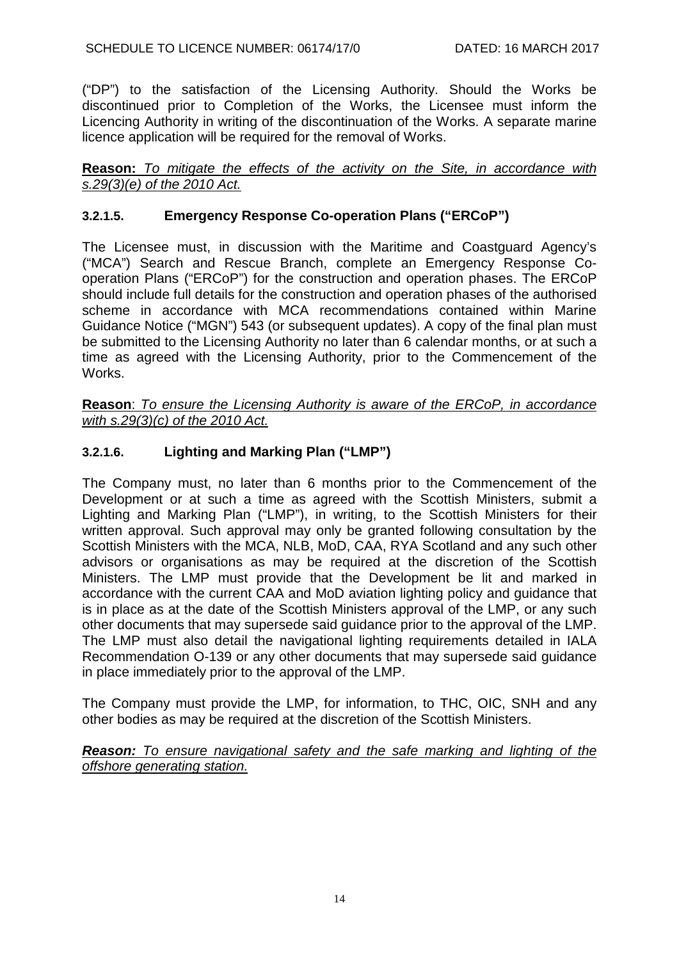("DP") to the satisfaction of the Licensing Authority. Should the Works be discontinued prior to Completion of the Works, the Licensee must inform the Licencing Authority in writing of the discontinuation of the Works. A separate marine licence application will be required for the removal of Works.

**Reason:** *To mitigate the effects of the activity on the Site, in accordance with s.29(3)(e) of the 2010 Act.*

# **3.2.1.5. Emergency Response Co-operation Plans ("ERCoP")**

The Licensee must, in discussion with the Maritime and Coastguard Agency's ("MCA") Search and Rescue Branch, complete an Emergency Response Cooperation Plans ("ERCoP") for the construction and operation phases. The ERCoP should include full details for the construction and operation phases of the authorised scheme in accordance with MCA recommendations contained within Marine Guidance Notice ("MGN") 543 (or subsequent updates). A copy of the final plan must be submitted to the Licensing Authority no later than 6 calendar months, or at such a time as agreed with the Licensing Authority, prior to the Commencement of the Works.

**Reason**: *To ensure the Licensing Authority is aware of the ERCoP, in accordance with s.29(3)(c) of the 2010 Act.*

# **3.2.1.6. Lighting and Marking Plan ("LMP")**

The Company must, no later than 6 months prior to the Commencement of the Development or at such a time as agreed with the Scottish Ministers, submit a Lighting and Marking Plan ("LMP"), in writing, to the Scottish Ministers for their written approval. Such approval may only be granted following consultation by the Scottish Ministers with the MCA, NLB, MoD, CAA, RYA Scotland and any such other advisors or organisations as may be required at the discretion of the Scottish Ministers. The LMP must provide that the Development be lit and marked in accordance with the current CAA and MoD aviation lighting policy and guidance that is in place as at the date of the Scottish Ministers approval of the LMP, or any such other documents that may supersede said guidance prior to the approval of the LMP. The LMP must also detail the navigational lighting requirements detailed in IALA Recommendation O-139 or any other documents that may supersede said guidance in place immediately prior to the approval of the LMP.

The Company must provide the LMP, for information, to THC, OIC, SNH and any other bodies as may be required at the discretion of the Scottish Ministers.

*Reason: To ensure navigational safety and the safe marking and lighting of the offshore generating station.*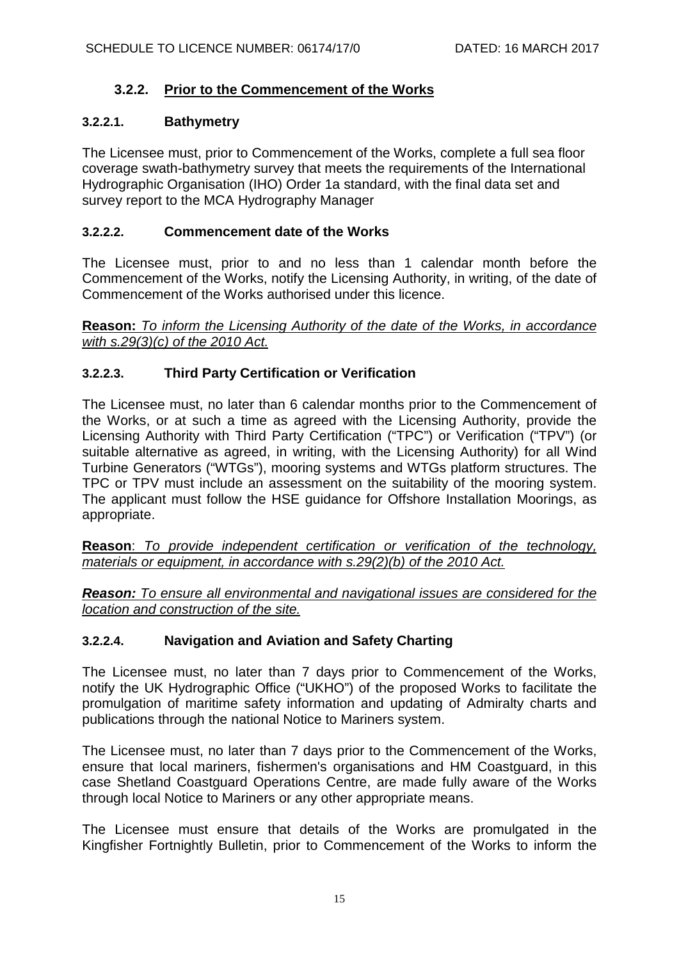# **3.2.2. Prior to the Commencement of the Works**

## **3.2.2.1. Bathymetry**

The Licensee must, prior to Commencement of the Works, complete a full sea floor coverage swath-bathymetry survey that meets the requirements of the International Hydrographic Organisation (IHO) Order 1a standard, with the final data set and survey report to the MCA Hydrography Manager

## **3.2.2.2. Commencement date of the Works**

The Licensee must, prior to and no less than 1 calendar month before the Commencement of the Works, notify the Licensing Authority, in writing, of the date of Commencement of the Works authorised under this licence.

**Reason:** *To inform the Licensing Authority of the date of the Works, in accordance with s.29(3)(c) of the 2010 Act.*

# **3.2.2.3. Third Party Certification or Verification**

The Licensee must, no later than 6 calendar months prior to the Commencement of the Works, or at such a time as agreed with the Licensing Authority, provide the Licensing Authority with Third Party Certification ("TPC") or Verification ("TPV") (or suitable alternative as agreed, in writing, with the Licensing Authority) for all Wind Turbine Generators ("WTGs"), mooring systems and WTGs platform structures. The TPC or TPV must include an assessment on the suitability of the mooring system. The applicant must follow the HSE guidance for Offshore Installation Moorings, as appropriate.

**Reason**: *To provide independent certification or verification of the technology, materials or equipment, in accordance with s.29(2)(b) of the 2010 Act.*

*Reason: To ensure all environmental and navigational issues are considered for the location and construction of the site.*

# **3.2.2.4. Navigation and Aviation and Safety Charting**

The Licensee must, no later than 7 days prior to Commencement of the Works, notify the UK Hydrographic Office ("UKHO") of the proposed Works to facilitate the promulgation of maritime safety information and updating of Admiralty charts and publications through the national Notice to Mariners system.

The Licensee must, no later than 7 days prior to the Commencement of the Works, ensure that local mariners, fishermen's organisations and HM Coastguard, in this case Shetland Coastguard Operations Centre, are made fully aware of the Works through local Notice to Mariners or any other appropriate means.

The Licensee must ensure that details of the Works are promulgated in the Kingfisher Fortnightly Bulletin, prior to Commencement of the Works to inform the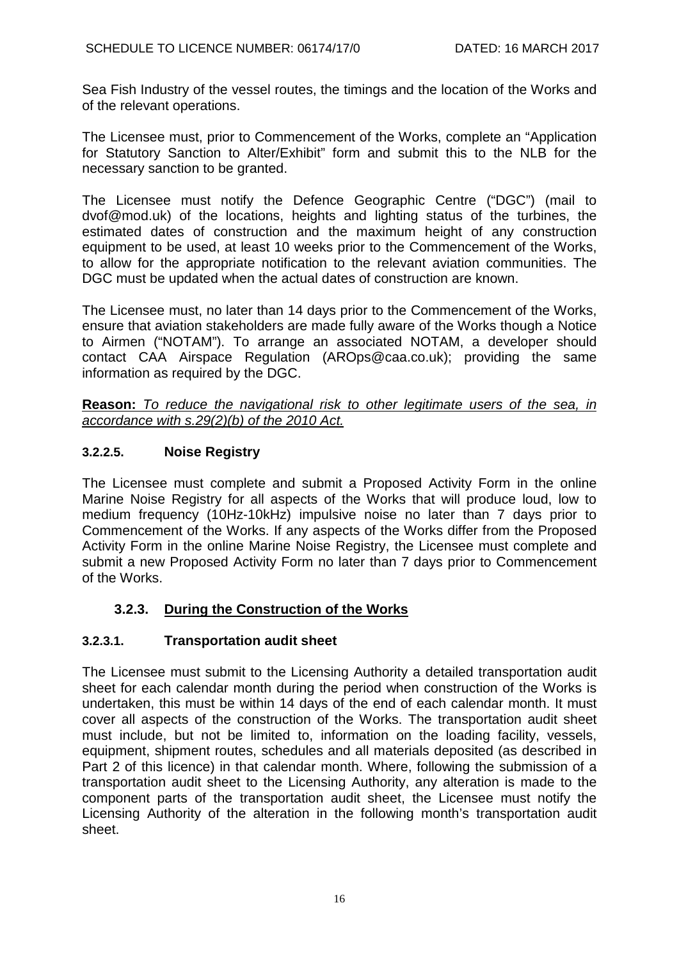Sea Fish Industry of the vessel routes, the timings and the location of the Works and of the relevant operations.

The Licensee must, prior to Commencement of the Works, complete an "Application for Statutory Sanction to Alter/Exhibit" form and submit this to the NLB for the necessary sanction to be granted.

The Licensee must notify the Defence Geographic Centre ("DGC") (mail to dvof@mod.uk) of the locations, heights and lighting status of the turbines, the estimated dates of construction and the maximum height of any construction equipment to be used, at least 10 weeks prior to the Commencement of the Works, to allow for the appropriate notification to the relevant aviation communities. The DGC must be updated when the actual dates of construction are known.

The Licensee must, no later than 14 days prior to the Commencement of the Works, ensure that aviation stakeholders are made fully aware of the Works though a Notice to Airmen ("NOTAM"). To arrange an associated NOTAM, a developer should contact CAA Airspace Regulation (AROps@caa.co.uk); providing the same information as required by the DGC.

**Reason:** *To reduce the navigational risk to other legitimate users of the sea, in accordance with s.29(2)(b) of the 2010 Act.*

# **3.2.2.5. Noise Registry**

The Licensee must complete and submit a Proposed Activity Form in the online Marine Noise Registry for all aspects of the Works that will produce loud, low to medium frequency (10Hz-10kHz) impulsive noise no later than 7 days prior to Commencement of the Works. If any aspects of the Works differ from the Proposed Activity Form in the online Marine Noise Registry, the Licensee must complete and submit a new Proposed Activity Form no later than 7 days prior to Commencement of the Works.

# **3.2.3. During the Construction of the Works**

# <span id="page-15-0"></span>**3.2.3.1. Transportation audit sheet**

The Licensee must submit to the Licensing Authority a detailed transportation audit sheet for each calendar month during the period when construction of the Works is undertaken, this must be within 14 days of the end of each calendar month. It must cover all aspects of the construction of the Works. The transportation audit sheet must include, but not be limited to, information on the loading facility, vessels, equipment, shipment routes, schedules and all materials deposited (as described in Part 2 of this licence) in that calendar month. Where, following the submission of a transportation audit sheet to the Licensing Authority, any alteration is made to the component parts of the transportation audit sheet, the Licensee must notify the Licensing Authority of the alteration in the following month's transportation audit sheet.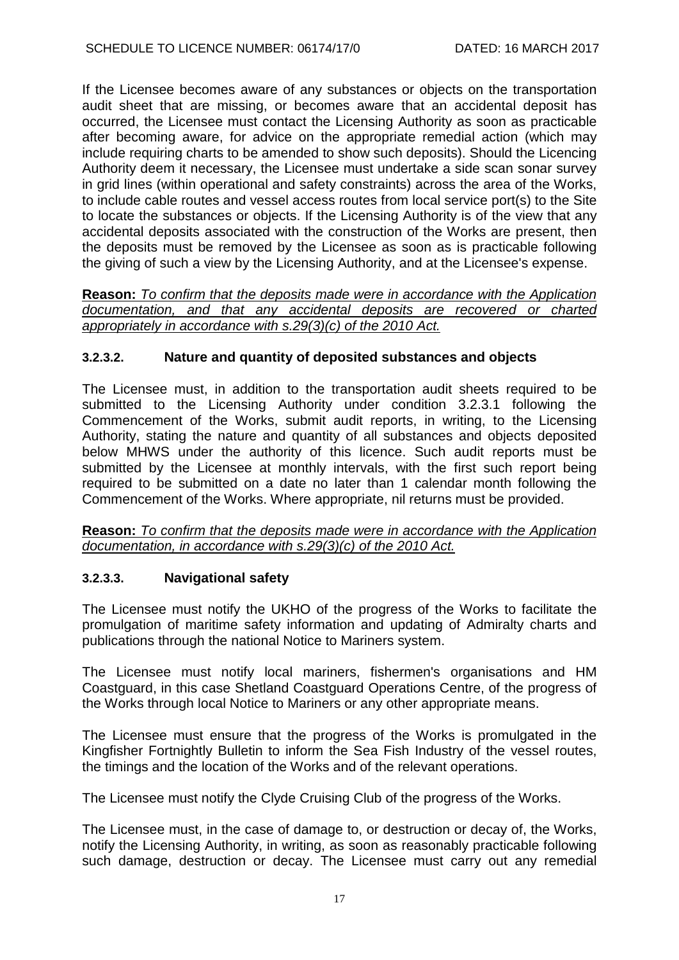If the Licensee becomes aware of any substances or objects on the transportation audit sheet that are missing, or becomes aware that an accidental deposit has occurred, the Licensee must contact the Licensing Authority as soon as practicable after becoming aware, for advice on the appropriate remedial action (which may include requiring charts to be amended to show such deposits). Should the Licencing Authority deem it necessary, the Licensee must undertake a side scan sonar survey in grid lines (within operational and safety constraints) across the area of the Works, to include cable routes and vessel access routes from local service port(s) to the Site to locate the substances or objects. If the Licensing Authority is of the view that any accidental deposits associated with the construction of the Works are present, then the deposits must be removed by the Licensee as soon as is practicable following the giving of such a view by the Licensing Authority, and at the Licensee's expense.

**Reason:** *To confirm that the deposits made were in accordance with the Application documentation, and that any accidental deposits are recovered or charted appropriately in accordance with s.29(3)(c) of the 2010 Act.*

## **3.2.3.2. Nature and quantity of deposited substances and objects**

The Licensee must, in addition to the transportation audit sheets required to be submitted to the Licensing Authority under condition [3.2.3.1](#page-15-0) following the Commencement of the Works, submit audit reports, in writing, to the Licensing Authority, stating the nature and quantity of all substances and objects deposited below MHWS under the authority of this licence. Such audit reports must be submitted by the Licensee at monthly intervals, with the first such report being required to be submitted on a date no later than 1 calendar month following the Commencement of the Works. Where appropriate, nil returns must be provided.

**Reason:** *To confirm that the deposits made were in accordance with the Application documentation, in accordance with s.29(3)(c) of the 2010 Act.*

### **3.2.3.3. Navigational safety**

The Licensee must notify the UKHO of the progress of the Works to facilitate the promulgation of maritime safety information and updating of Admiralty charts and publications through the national Notice to Mariners system.

The Licensee must notify local mariners, fishermen's organisations and HM Coastguard, in this case Shetland Coastguard Operations Centre, of the progress of the Works through local Notice to Mariners or any other appropriate means.

The Licensee must ensure that the progress of the Works is promulgated in the Kingfisher Fortnightly Bulletin to inform the Sea Fish Industry of the vessel routes, the timings and the location of the Works and of the relevant operations.

The Licensee must notify the Clyde Cruising Club of the progress of the Works.

The Licensee must, in the case of damage to, or destruction or decay of, the Works, notify the Licensing Authority, in writing, as soon as reasonably practicable following such damage, destruction or decay. The Licensee must carry out any remedial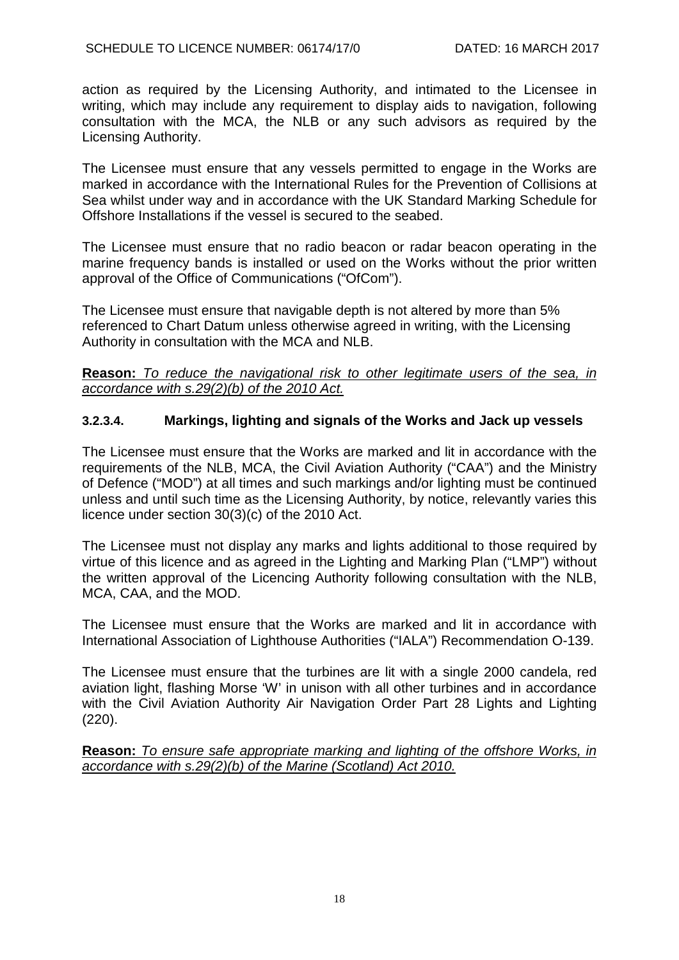action as required by the Licensing Authority, and intimated to the Licensee in writing, which may include any requirement to display aids to navigation, following consultation with the MCA, the NLB or any such advisors as required by the Licensing Authority.

The Licensee must ensure that any vessels permitted to engage in the Works are marked in accordance with the International Rules for the Prevention of Collisions at Sea whilst under way and in accordance with the UK Standard Marking Schedule for Offshore Installations if the vessel is secured to the seabed.

The Licensee must ensure that no radio beacon or radar beacon operating in the marine frequency bands is installed or used on the Works without the prior written approval of the Office of Communications ("OfCom").

The Licensee must ensure that navigable depth is not altered by more than 5% referenced to Chart Datum unless otherwise agreed in writing, with the Licensing Authority in consultation with the MCA and NLB.

### **Reason:** *To reduce the navigational risk to other legitimate users of the sea, in accordance with s.29(2)(b) of the 2010 Act.*

## **3.2.3.4. Markings, lighting and signals of the Works and Jack up vessels**

The Licensee must ensure that the Works are marked and lit in accordance with the requirements of the NLB, MCA, the Civil Aviation Authority ("CAA") and the Ministry of Defence ("MOD") at all times and such markings and/or lighting must be continued unless and until such time as the Licensing Authority, by notice, relevantly varies this licence under section 30(3)(c) of the 2010 Act.

The Licensee must not display any marks and lights additional to those required by virtue of this licence and as agreed in the Lighting and Marking Plan ("LMP") without the written approval of the Licencing Authority following consultation with the NLB, MCA, CAA, and the MOD.

The Licensee must ensure that the Works are marked and lit in accordance with International Association of Lighthouse Authorities ("IALA") Recommendation O-139.

The Licensee must ensure that the turbines are lit with a single 2000 candela, red aviation light, flashing Morse 'W' in unison with all other turbines and in accordance with the Civil Aviation Authority Air Navigation Order Part 28 Lights and Lighting (220).

**Reason:** *To ensure safe appropriate marking and lighting of the offshore Works, in accordance with s.29(2)(b) of the Marine (Scotland) Act 2010.*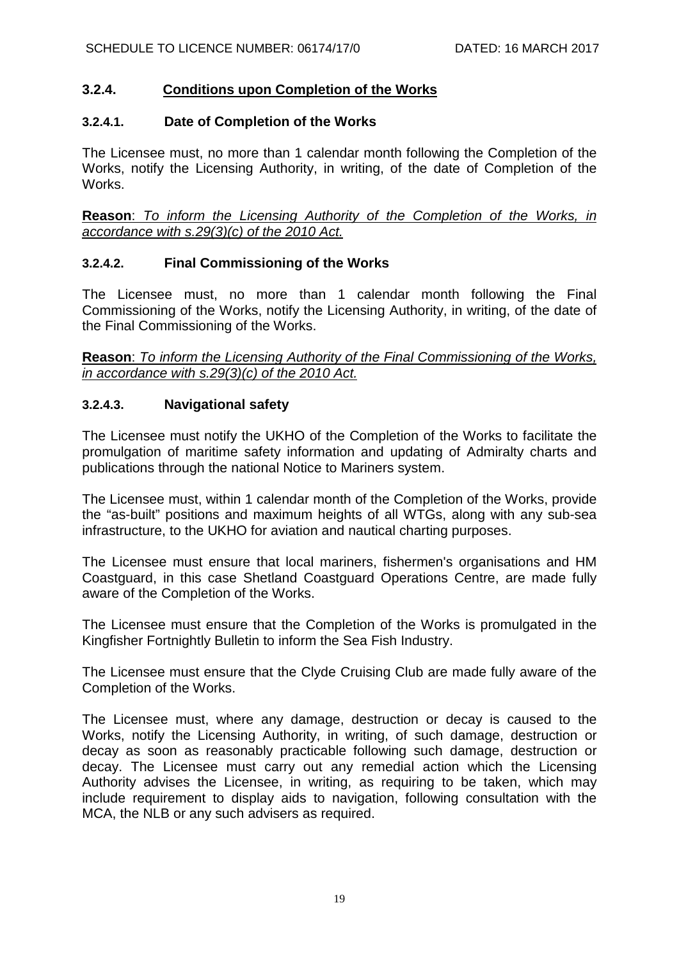## **3.2.4. Conditions upon Completion of the Works**

#### **3.2.4.1. Date of Completion of the Works**

The Licensee must, no more than 1 calendar month following the Completion of the Works, notify the Licensing Authority, in writing, of the date of Completion of the Works.

**Reason**: *To inform the Licensing Authority of the Completion of the Works, in accordance with s.29(3)(c) of the 2010 Act.*

### **3.2.4.2. Final Commissioning of the Works**

The Licensee must, no more than 1 calendar month following the Final Commissioning of the Works, notify the Licensing Authority, in writing, of the date of the Final Commissioning of the Works.

**Reason**: *To inform the Licensing Authority of the Final Commissioning of the Works, in accordance with s.29(3)(c) of the 2010 Act.*

### **3.2.4.3. Navigational safety**

The Licensee must notify the UKHO of the Completion of the Works to facilitate the promulgation of maritime safety information and updating of Admiralty charts and publications through the national Notice to Mariners system.

The Licensee must, within 1 calendar month of the Completion of the Works, provide the "as-built" positions and maximum heights of all WTGs, along with any sub-sea infrastructure, to the UKHO for aviation and nautical charting purposes.

The Licensee must ensure that local mariners, fishermen's organisations and HM Coastguard, in this case Shetland Coastguard Operations Centre, are made fully aware of the Completion of the Works.

The Licensee must ensure that the Completion of the Works is promulgated in the Kingfisher Fortnightly Bulletin to inform the Sea Fish Industry.

The Licensee must ensure that the Clyde Cruising Club are made fully aware of the Completion of the Works.

The Licensee must, where any damage, destruction or decay is caused to the Works, notify the Licensing Authority, in writing, of such damage, destruction or decay as soon as reasonably practicable following such damage, destruction or decay. The Licensee must carry out any remedial action which the Licensing Authority advises the Licensee, in writing, as requiring to be taken, which may include requirement to display aids to navigation, following consultation with the MCA, the NLB or any such advisers as required.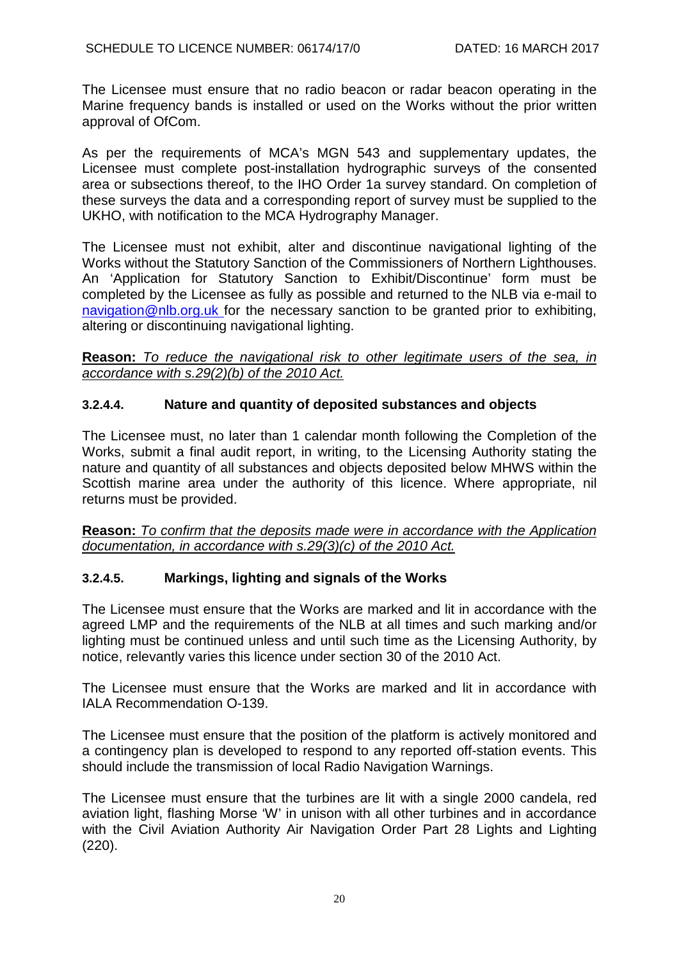The Licensee must ensure that no radio beacon or radar beacon operating in the Marine frequency bands is installed or used on the Works without the prior written approval of OfCom.

As per the requirements of MCA's MGN 543 and supplementary updates, the Licensee must complete post-installation hydrographic surveys of the consented area or subsections thereof, to the IHO Order 1a survey standard. On completion of these surveys the data and a corresponding report of survey must be supplied to the UKHO, with notification to the MCA Hydrography Manager.

The Licensee must not exhibit, alter and discontinue navigational lighting of the Works without the Statutory Sanction of the Commissioners of Northern Lighthouses. An 'Application for Statutory Sanction to Exhibit/Discontinue' form must be completed by the Licensee as fully as possible and returned to the NLB via e-mail to [navigation@nlb.org.uk](mailto:navigation@nlb.org.uk) for the necessary sanction to be granted prior to exhibiting, altering or discontinuing navigational lighting.

**Reason:** *To reduce the navigational risk to other legitimate users of the sea, in accordance with s.29(2)(b) of the 2010 Act.*

# **3.2.4.4. Nature and quantity of deposited substances and objects**

The Licensee must, no later than 1 calendar month following the Completion of the Works, submit a final audit report, in writing, to the Licensing Authority stating the nature and quantity of all substances and objects deposited below MHWS within the Scottish marine area under the authority of this licence. Where appropriate, nil returns must be provided.

**Reason:** *To confirm that the deposits made were in accordance with the Application documentation, in accordance with s.29(3)(c) of the 2010 Act.*

# **3.2.4.5. Markings, lighting and signals of the Works**

The Licensee must ensure that the Works are marked and lit in accordance with the agreed LMP and the requirements of the NLB at all times and such marking and/or lighting must be continued unless and until such time as the Licensing Authority, by notice, relevantly varies this licence under section 30 of the 2010 Act.

The Licensee must ensure that the Works are marked and lit in accordance with IALA Recommendation O-139.

The Licensee must ensure that the position of the platform is actively monitored and a contingency plan is developed to respond to any reported off-station events. This should include the transmission of local Radio Navigation Warnings.

The Licensee must ensure that the turbines are lit with a single 2000 candela, red aviation light, flashing Morse 'W' in unison with all other turbines and in accordance with the Civil Aviation Authority Air Navigation Order Part 28 Lights and Lighting (220).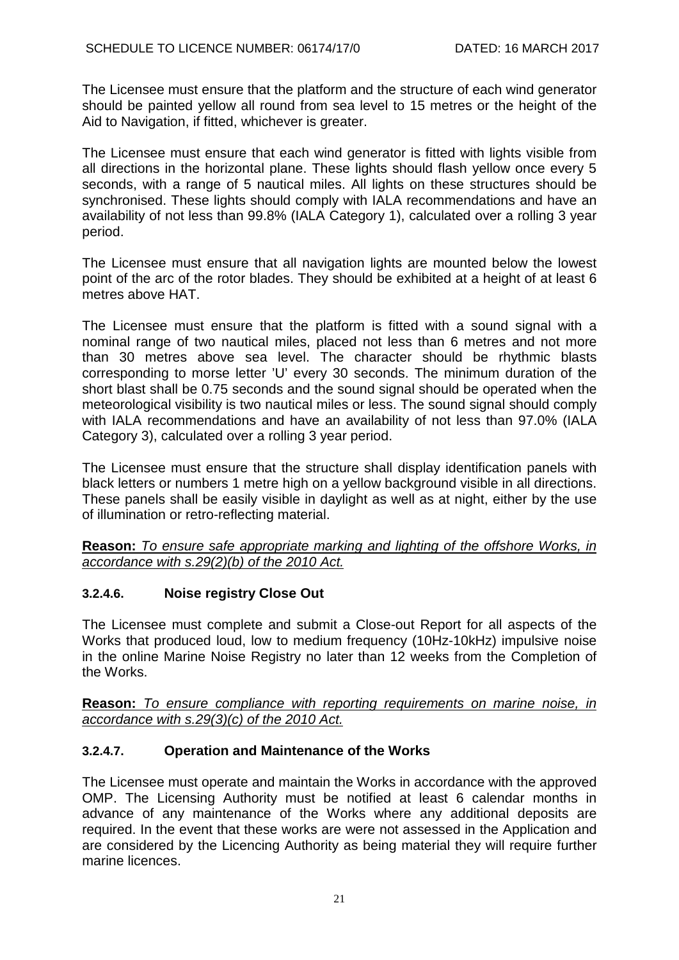The Licensee must ensure that the platform and the structure of each wind generator should be painted yellow all round from sea level to 15 metres or the height of the Aid to Navigation, if fitted, whichever is greater.

The Licensee must ensure that each wind generator is fitted with lights visible from all directions in the horizontal plane. These lights should flash yellow once every 5 seconds, with a range of 5 nautical miles. All lights on these structures should be synchronised. These lights should comply with IALA recommendations and have an availability of not less than 99.8% (IALA Category 1), calculated over a rolling 3 year period.

The Licensee must ensure that all navigation lights are mounted below the lowest point of the arc of the rotor blades. They should be exhibited at a height of at least 6 metres above HAT.

The Licensee must ensure that the platform is fitted with a sound signal with a nominal range of two nautical miles, placed not less than 6 metres and not more than 30 metres above sea level. The character should be rhythmic blasts corresponding to morse letter 'U' every 30 seconds. The minimum duration of the short blast shall be 0.75 seconds and the sound signal should be operated when the meteorological visibility is two nautical miles or less. The sound signal should comply with IALA recommendations and have an availability of not less than 97.0% (IALA Category 3), calculated over a rolling 3 year period.

The Licensee must ensure that the structure shall display identification panels with black letters or numbers 1 metre high on a yellow background visible in all directions. These panels shall be easily visible in daylight as well as at night, either by the use of illumination or retro-reflecting material.

**Reason:** *To ensure safe appropriate marking and lighting of the offshore Works, in accordance with s.29(2)(b) of the 2010 Act.*

# **3.2.4.6. Noise registry Close Out**

The Licensee must complete and submit a Close-out Report for all aspects of the Works that produced loud, low to medium frequency (10Hz-10kHz) impulsive noise in the online Marine Noise Registry no later than 12 weeks from the Completion of the Works.

**Reason:** *To ensure compliance with reporting requirements on marine noise, in accordance with s.29(3)(c) of the 2010 Act.*

# **3.2.4.7. Operation and Maintenance of the Works**

The Licensee must operate and maintain the Works in accordance with the approved OMP. The Licensing Authority must be notified at least 6 calendar months in advance of any maintenance of the Works where any additional deposits are required. In the event that these works are were not assessed in the Application and are considered by the Licencing Authority as being material they will require further marine licences.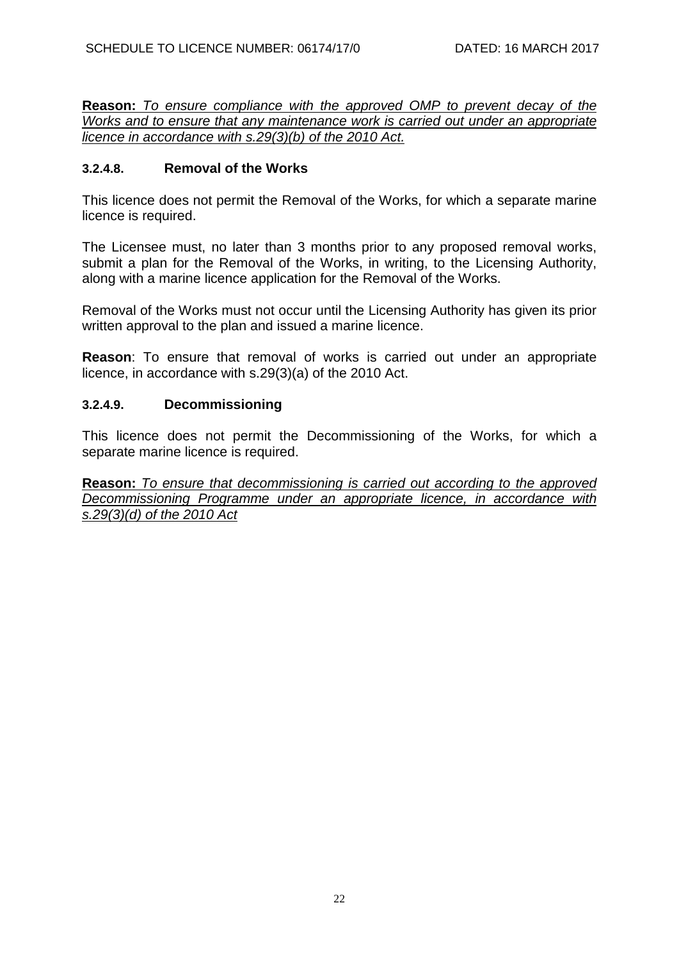**Reason:** *To ensure compliance with the approved OMP to prevent decay of the Works and to ensure that any maintenance work is carried out under an appropriate licence in accordance with s.29(3)(b) of the 2010 Act.*

### **3.2.4.8. Removal of the Works**

This licence does not permit the Removal of the Works, for which a separate marine licence is required.

The Licensee must, no later than 3 months prior to any proposed removal works, submit a plan for the Removal of the Works, in writing, to the Licensing Authority, along with a marine licence application for the Removal of the Works.

Removal of the Works must not occur until the Licensing Authority has given its prior written approval to the plan and issued a marine licence.

**Reason**: To ensure that removal of works is carried out under an appropriate licence, in accordance with s.29(3)(a) of the 2010 Act.

#### **3.2.4.9. Decommissioning**

This licence does not permit the Decommissioning of the Works, for which a separate marine licence is required.

**Reason:** *To ensure that decommissioning is carried out according to the approved Decommissioning Programme under an appropriate licence, in accordance with s.29(3)(d) of the 2010 Act*